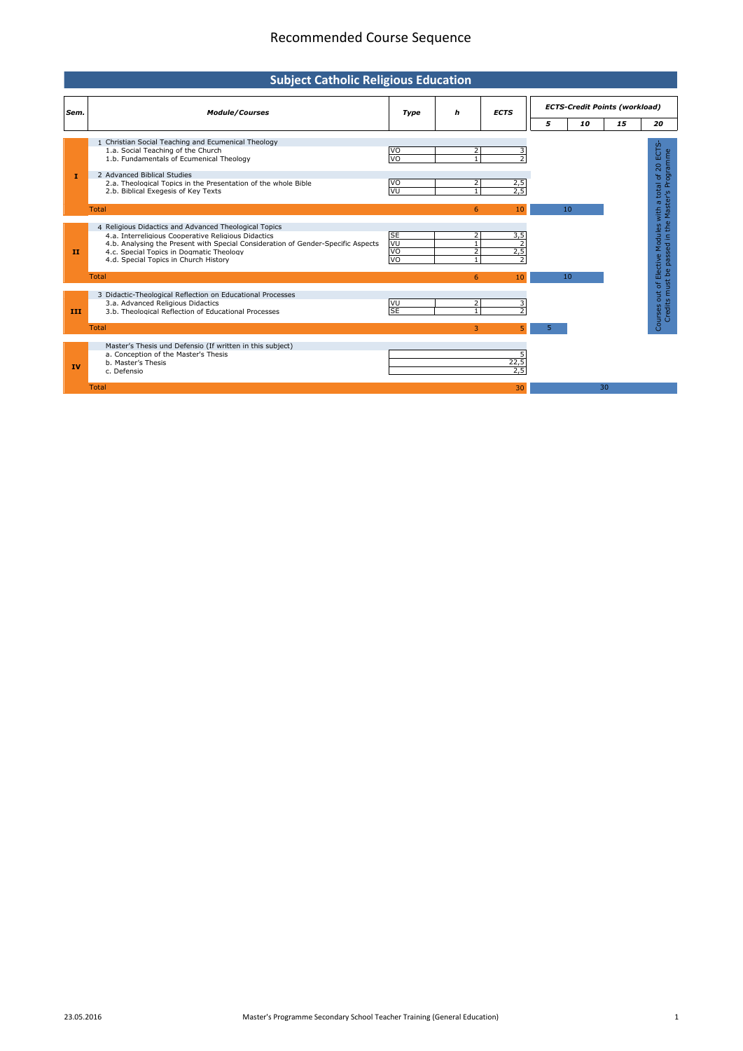## Recommended Course Sequence

| <b>Subject Catholic Religious Education</b> |                                                                                                                                                                                                                                                                                       |                                                       |                                |             |                                      |    |    |                                                                                                             |  |
|---------------------------------------------|---------------------------------------------------------------------------------------------------------------------------------------------------------------------------------------------------------------------------------------------------------------------------------------|-------------------------------------------------------|--------------------------------|-------------|--------------------------------------|----|----|-------------------------------------------------------------------------------------------------------------|--|
| Sem.                                        | <b>Module/Courses</b>                                                                                                                                                                                                                                                                 | Type                                                  | h                              | <b>ECTS</b> | <b>ECTS-Credit Points (workload)</b> |    |    |                                                                                                             |  |
|                                             |                                                                                                                                                                                                                                                                                       |                                                       |                                |             | 5                                    | 10 | 15 | 20                                                                                                          |  |
| п                                           | 1 Christian Social Teaching and Ecumenical Theology<br>1.a. Social Teaching of the Church<br>1.b. Fundamentals of Ecumenical Theology<br>2 Advanced Biblical Studies<br>2.a. Theological Topics in the Presentation of the whole Bible<br>2.b. Biblical Exegesis of Key Texts         | <b>VO</b><br>$\overline{v}$<br><b>VO</b><br><b>VU</b> | 2                              | 2,5<br>2.5  |                                      |    |    | Courses out of Elective Modules with a total of 20 ECTS<br>Credits must be passed in the Master's Programme |  |
|                                             | <b>Total</b>                                                                                                                                                                                                                                                                          |                                                       | 6                              | 10          |                                      | 10 |    |                                                                                                             |  |
| п                                           | 4 Religious Didactics and Advanced Theological Topics<br>4.a. Interreligious Cooperative Religious Didactics<br>4.b. Analysing the Present with Special Consideration of Gender-Specific Aspects<br>4.c. Special Topics in Dogmatic Theology<br>4.d. Special Topics in Church History | <b>SE</b><br>VU<br>VO<br>VO                           | 2<br>$\mathbf{1}$              | 3,5<br>2,5  |                                      |    |    |                                                                                                             |  |
|                                             | <b>Total</b>                                                                                                                                                                                                                                                                          |                                                       | 6                              | 10          |                                      | 10 |    |                                                                                                             |  |
| III                                         | 3 Didactic-Theological Reflection on Educational Processes<br>3.a. Advanced Religious Didactics<br>3.b. Theological Reflection of Educational Processes                                                                                                                               | <b>VU</b><br><b>SE</b>                                | $\overline{2}$<br>$\mathbf{1}$ |             |                                      |    |    |                                                                                                             |  |
|                                             | <b>Total</b>                                                                                                                                                                                                                                                                          |                                                       | 3                              |             | 5                                    |    |    |                                                                                                             |  |
| IV                                          | Master's Thesis und Defensio (If written in this subject)<br>a. Conception of the Master's Thesis<br>b. Master's Thesis<br>c. Defensio                                                                                                                                                |                                                       |                                | 22,5<br>2.5 |                                      |    |    |                                                                                                             |  |
|                                             | <b>Total</b>                                                                                                                                                                                                                                                                          |                                                       |                                | 30          |                                      | 30 |    |                                                                                                             |  |